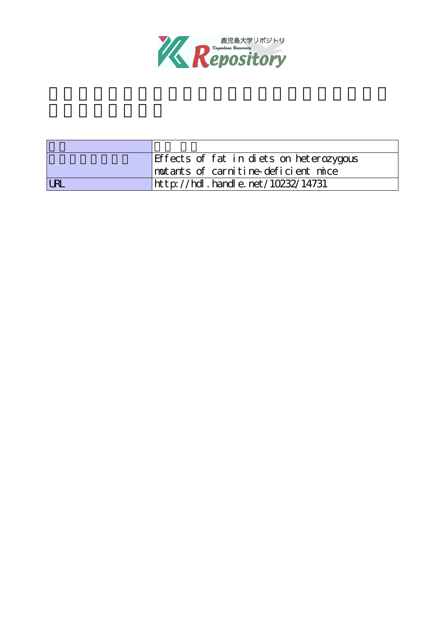

|            | Effects of fat in diets on heterozygous |  |
|------------|-----------------------------------------|--|
|            | mutants of carnitine-deficient mice     |  |
| <b>LRI</b> | http://hdl.handle.net/10232/14731       |  |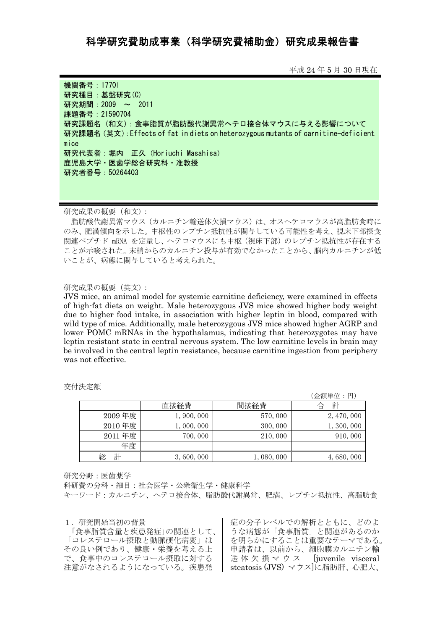## 科学研究費補助金)研究成果報告書

平成 24 年 5 月 30 日現在

機関番号:17701 研究種目:基盤研究(C) 研究期間: 2009 ~ 2011 課題番号:21590704 研究課題名(和文):食事脂質が脂肪酸代謝異常へテロ接合体マウスに与える影響について 研究課題名(英文):Effects of fat in diets on heterozygous mutants of carnitine-deficient mice 研究代表者:堀内 正久(Horiuchi Masahisa) 鹿児島大学・医歯学総合研究科・准教授 研究者番号:50264403

研究成果の概要(和文):

脂肪酸代謝異常マウス(カルニチン輸送体欠損マウス)は、オスヘテロマウスが高脂肪食時に のみ、肥満傾向を示した。中枢性のレプチン抵抗性が関与している可能性を考え、視床下部摂食 関連ペプチド mRNA を定量し、ヘテロマウスにも中枢(視床下部)のレプチン抵抗性が存在する ことが示唆された。末梢からのカルニチン投与が有効でなかったことから、脳内カルニチンが低 いことが、病態に関与していると考えられた。

## 研究成果の概要(英文):

JVS mice, an animal model for systemic carnitine deficiency, were examined in effects of high-fat diets on weight. Male heterozygous JVS mice showed higher body weight due to higher food intake, in association with higher leptin in blood, compared with wild type of mice. Additionally, male heterozygous JVS mice showed higher AGRP and lower POMC mRNAs in the hypothalamus, indicating that heterozygotes may have leptin resistant state in central nervous system. The low carnitine levels in brain may be involved in the central leptin resistance, because carnitine ingestion from periphery was not effective.

|        |           |           | (金額単位:円)    |
|--------|-----------|-----------|-------------|
|        | 直接経費      | 間接経費      | 計<br>台      |
| 2009年度 | 1,900,000 | 570,000   | 2, 470, 000 |
| 2010年度 | 1,000,000 | 300,000   | 1, 300, 000 |
| 2011年度 | 700,000   | 210,000   | 910,000     |
| 年度     |           |           |             |
| 計      | 3,600,000 | 1,080,000 | 4,680,000   |

交付決定額

研究分野:医歯薬学

科研費の分科・細目:社会医学・公衆衛生学・健康科学 キーワード:カルニチン、ヘテロ接合体、脂肪酸代謝異常、肥満、レプチン抵抗性、高脂肪食

1.研究開始当初の背景

「食事脂質含量と疾患発症」の関連として、 「コレステロール摂取と動脈硬化病変」は その良い例であり、健康・栄養を考える上 で、食事中のコレステロール摂取に対する 注意がなされるようになっている。疾患発

症の分子レベルでの解析とともに、どのよ うな病態が「食事脂質」と関連があるのか を明らかにすることは重要なテーマである。 申請者は、以前から、細胞膜カルニチン輸 送体欠損マウス [juvenile visceral steatosis (JVS) マウス]に脂肪肝、心肥大、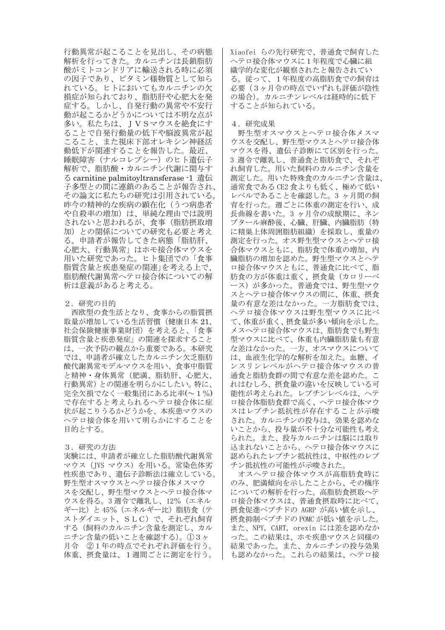行動異常が起こることを見出し、その病態 解析を行ってきた。カルニチンは長鎖脂肪 酸がミトコンドリアに輸送される時に必須 の因子であり、ビタミン様物質として知ら れている。ヒトにおいてもカルニチンの欠 損症が知られており、脂肪肝や心肥大を発 症する。しかし、自発行動の異常や不安行 動が起こるかどうかについては不明な点が 多い。私たちは、JVSマウスを絶食にす ることで自発行動量の低下や脳波異常が起 こること、また視床下部オレキシン神経活 動低下が関連することを報告した。最近、 睡眠障害(ナルコレプシー)のヒト遺伝子 解析で、脂肪酸・カルニチン代謝に関与す る carnitine palmitoyltransferase -1 遺伝 子多型との間に連鎖のあることが報告され、 その論文に私たちの研究は引用されている。 昨今の精神的な疾病の顕在化(うつ病患者 や自殺率の増加)は、単純な理由では説明 されないと思われるが、食事(脂肪摂取増 加)との関係についての研究も必要と考え る。申請者が報告してきた病態「脂肪肝、 心肥大、行動異常」はホモ接合体マウスを 用いた研究であった。ヒト集団での「食事 脂質含量と疾患発症の関連」を考える上で、 脂肪酸代謝異常ヘテロ接合体についての解 析は意義があると考える。

2.研究の目的

 西欧型の食生活となり、食事からの脂質摂 取量が増加している生活習慣(健康日本 21、 社会保険健康事業財団)を考えると、「食事 脂質含量と疾患発症」の関連を探求すること は、一次予防の観点から重要である。本研究 では、申請者が確立したカルニチン欠乏脂肪 酸代謝異常モデルマウスを用い、食事中脂質 と精神・身体異常(肥満、脂肪肝、心肥大、 行動異常)との関連を明らかにしたい。特に、 完全欠損でなく一般集団にある比率(~1%) で存在すると考えられるヘテロ接合体に症 状が起こりうるかどうかを、本疾患マウスの ヘテロ接合体を用いて明らかにすることを 目的とする。

## 3.研究の方法

実験には、申請者が確立した脂肪酸代謝異常 マウス(JVS マウス)を用いる。常染色体劣 性疾患であり、遺伝子診断法は確立している。 野生型オスマウスとヘテロ接合体メスマウ スを交配し、野生型マウスとヘテロ接合体マ ウスを得る。3 週令で離乳し、12%(エネル ギー比)と45% (エネルギー比) 脂肪食(テ ストダイエット、SLC)で、それぞれ飼育 する(飼料のカルニチン含量を測定し、カル ニチン含量の低いことを確認する)。①3ヶ 月令 ②1年の時点でそれぞれ評価を行う。 体重、摂食量は、1週間ごとに測定を行う。

Xiaofei らの先行研究で、普通食で飼育した ヘテロ接合体マウスに1年程度で心臓に組 織学的な変化が観察されたと報告されてい る。従って、1年程度の高脂肪食での飼育は 必要(3ヶ月令の時点でいずれも評価が陰性 の場合)。カルニチンレベルは経時的に低下 することが知られている。

## 4.研究成果

野生型オスマウスとヘテロ接合体メスマ ウスを交配し、野生型マウスとヘテロ接合体 マウスを得、遺伝子診断にて区別を行った。 3 週令で離乳し、普通食と脂肪食で、それぞ れ飼育した。用いた飼料のカルニチン含量を 測定した。用いた特殊食のカルニチン含量は、 通常食である CE2 食よりも低く、極めて低い レベルであることを確認した。3 ヶ月間の飼 育を行った。週ごとに体重の測定を行い、成 長曲線を書いた。3 ヶ月令の成獣期に、ネン ブタール麻酔後、心臓、肝臓、内臓脂肪(特 に精巣上体周囲脂肪組織)を採取し、重量の 測定を行った。オス野生型マウスとヘテロ接 合体マウスともに、脂肪食で体重の増加、内 臓脂肪の増加を認めた。野生型マウスとヘテ ロ接合体マウスともに、普通食に比べて、脂 肪食の方が体重は重く、摂食量(カロリーベ ース)が多かった。普通食では、野生型マウ スとヘテロ接合体マウスの間に、体重、摂食 量の有意な差はなかった。一方脂肪食では、 ヘテロ接合体マウスは野生型マウスに比べ て、体重が重く、摂食量が多い傾向を示した。 メスヘテロ接合体マウスは、脂肪食でも野生 型マウスに比べて、体重も内臓脂肪量も有意 な差はなかった。一方、オスマウスについて は、血液生化学的な解析を加えた。血糖、イ ンスリンレベルがヘテロ接合体マウスの普 通食と脂肪食群の間で有意な差を認めた。こ れはむしろ、摂食量の違いを反映している可 能性が考えられた。レプチンレベルは、ヘテ ロ接合体脂肪食群で高く、ヘテロ接合体マウ スはレプチン抵抗性が存在することが示唆 された。カルニチンの投与は、効果を認めな いことから、投与量が不十分な可能性も考え られた。また、投与カルニチンは脳には取り 込まれないことから、ヘテロ接合体マウスに 認められたレプチン抵抗性は、中枢性のレプ チン抵抗性の可能性が示唆された。

オスヘテロ接合体マウスが高脂肪食時に のみ、肥満傾向を示したことから、その機序 についての解析を行った。高脂肪食摂取ヘテ ロ接合体マウスは、普通食摂取時に比べて、 摂食促進ペプチドの AGRP が高い値を示し、 摂食抑制ペプチドの POMC が低い値を示した。 また、NPY, CART, orexin には差を認めなか った。この結果は、ホモ疾患マウスと同様の 結果であった。また、カルニチンの投与効果 も認めなかった。これらの結果は、ヘテロ接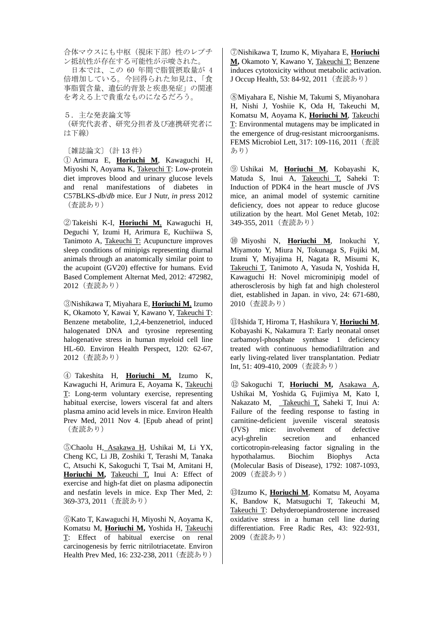合体マウスにも中枢(視床下部)性のレプチ ン抵抗性が存在する可能性が示唆された。

日本では、この 60 年間で脂質摂取量が 4 倍増加している。今回得られた知見は、「食 事脂質含量、遺伝的背景と疾患発症」の関連 を考える上で貴重なものになるだろう。

5.主な発表論文等 (研究代表者、研究分担者及び連携研究者に は下線)

〔雑誌論文〕(計 13 件)

① Arimura E, **Horiuchi M**, Kawaguchi H, Miyoshi N, Aoyama K, Takeuchi T: Low-protein diet improves blood and urinary glucose levels and renal manifestations of diabetes in C57BLKS-*db*/*db* mice. Eur J Nutr, *in press* 2012 (査読あり)

②Takeishi K-I, **Horiuchi M**, Kawaguchi H, Deguchi Y, Izumi H, Arimura E, Kuchiiwa S, Tanimoto A, Takeuchi T: Acupuncture improves sleep conditions of minipigs representing diurnal animals through an anatomically similar point to the acupoint (GV20) effective for humans. Evid Based Complement Alternat Med, 2012: 472982, 2012(査読あり)

③Nishikawa T, Miyahara E, **Horiuchi M**, Izumo K, Okamoto Y, Kawai Y, Kawano Y, Takeuchi T: Benzene metabolite, 1,2,4-benzenetriol, induced halogenated DNA and tyrosine representing halogenative stress in human myeloid cell line HL-60. Environ Health Perspect, 120: 62-67, 2012(査読あり)

④ Takeshita H, **Horiuchi M**, Izumo K, Kawaguchi H, Arimura E, Aoyama K, Takeuchi T: Long-term voluntary exercise, representing habitual exercise, lowers visceral fat and alters plasma amino acid levels in mice. Environ Health Prev Med, 2011 Nov 4. [Epub ahead of print] (査読あり)

⑤Chaolu H, Asakawa H, Ushikai M, Li YX, Cheng KC, Li JB, Zoshiki T, Terashi M, Tanaka C, Atsuchi K, Sakoguchi T, Tsai M, Amitani H, **Horiuchi M,** Takeuchi T, Inui A: Effect of exercise and high-fat diet on plasma adiponectin and nesfatin levels in mice. Exp Ther Med, 2: 369-373, 2011(査読あり)

⑥Kato T, Kawaguchi H, Miyoshi N, Aoyama K, Komatsu M, **Horiuchi M,** Yoshida H, Takeuchi T: Effect of habitual exercise on renal carcinogenesis by ferric nitrilotriacetate. Environ Health Prev Med, 16: 232-238, 2011 (査読あり)

⑦Nishikawa T, Izumo K, Miyahara E, **Horiuchi M,** Okamoto Y, Kawano Y, Takeuchi T: Benzene induces cytotoxicity without metabolic activation. J Occup Health, 53: 84-92, 2011 (査読あり)

⑧Miyahara E, Nishie M, Takumi S, Miyanohara H, Nishi J, Yoshiie K, Oda H, Takeuchi M, Komatsu M, Aoyama K, **Horiuchi M**, Takeuchi T: Environmental mutagens may be implicated in the emergence of drug-resistant microorganisms. FEMS Microbiol Lett, 317: 109-116, 2011 (査読 あり)

⑨ Ushikai M, **Horiuchi M**, Kobayashi K, Matuda S, Inui A, Takeuchi T, Saheki T: Induction of PDK4 in the heart muscle of JVS mice, an animal model of systemic carnitine deficiency, does not appear to reduce glucose utilization by the heart. Mol Genet Metab, 102: 349-355, 2011(査読あり)

⑩ Miyoshi N, **Horiuchi M**, Inokuchi Y, Miyamoto Y, Miura N, Tokunaga S, Fujiki M, Izumi Y, Miyajima H, Nagata R, Misumi K, Takeuchi T, Tanimoto A, Yasuda N, Yoshida H, Kawaguchi H: Novel microminipig model of atherosclerosis by high fat and high cholesterol diet, established in Japan. in vivo, 24: 671-680, 2010(査読あり)

⑪Ishida T, Hiroma T, Hashikura Y, **Horiuchi M**, Kobayashi K, Nakamura T: Early neonatal onset carbamoyl-phosphate synthase 1 deficiency treated with continuous hemodiafiltration and early living-related liver transplantation. Pediatr Int, 51: 409-410, 2009(査読あり)

⑫ Sakoguchi T, **Horiuchi M,** Asakawa A, Ushikai M, Yoshida G, Fujimiya M, Kato I, Nakazato M, Takeuchi T, Saheki T, Inui A: Failure of the feeding response to fasting in carnitine-deficient juvenile visceral steatosis (JVS) mice: involvement of defective acyl-ghrelin secretion and enhanced corticotropin-releasing factor signaling in the hypothalamus. Biochim Biophys Acta (Molecular Basis of Disease), 1792: 1087-1093, 2009(査読あり)

⑬Izumo K, **Horiuchi M**, Komatsu M, Aoyama K, Bandow K, Matsuguchi T, Takeuchi M, Takeuchi T: Dehyderoepiandrosterone increased oxidative stress in a human cell line during differentiation. Free Radic Res, 43: 922-931, 2009(査読あり)